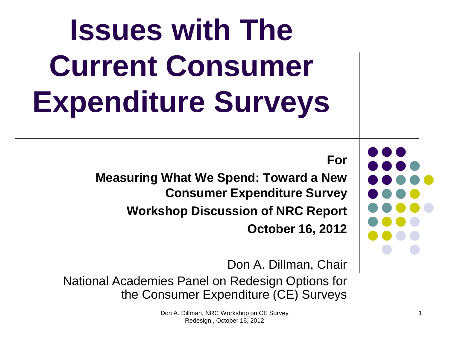# **Issues with The Current Consumer Expenditure Surveys**

**For** 

**Measuring What We Spend: Toward a New Consumer Expenditure Survey Workshop Discussion of NRC Report October 16, 2012**

Don A. Dillman, Chair National Academies Panel on Redesign Options for the Consumer Expenditure (CE) Surveys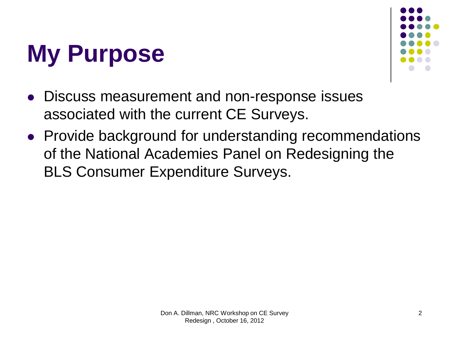



- Discuss measurement and non-response issues associated with the current CE Surveys.
- Provide background for understanding recommendations of the National Academies Panel on Redesigning the BLS Consumer Expenditure Surveys.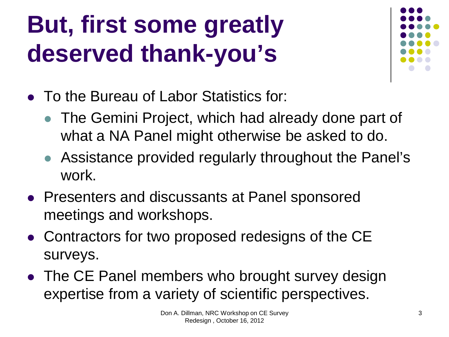#### **But, first some greatly deserved thank-you's**



- To the Bureau of Labor Statistics for:
	- The Gemini Project, which had already done part of what a NA Panel might otherwise be asked to do.
	- Assistance provided regularly throughout the Panel's work.
- Presenters and discussants at Panel sponsored meetings and workshops.
- Contractors for two proposed redesigns of the CE surveys.
- The CE Panel members who brought survey design expertise from a variety of scientific perspectives.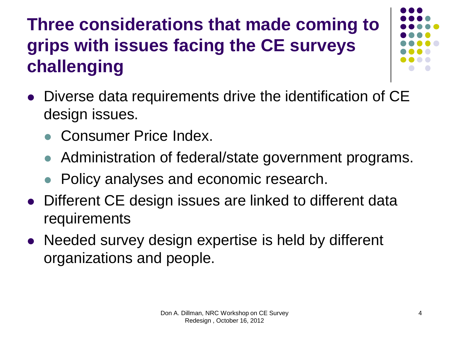#### **Three considerations that made coming to grips with issues facing the CE surveys challenging**

- 
- Diverse data requirements drive the identification of CE design issues.
	- Consumer Price Index.
	- Administration of federal/state government programs.
	- Policy analyses and economic research.
- Different CE design issues are linked to different data requirements
- Needed survey design expertise is held by different organizations and people.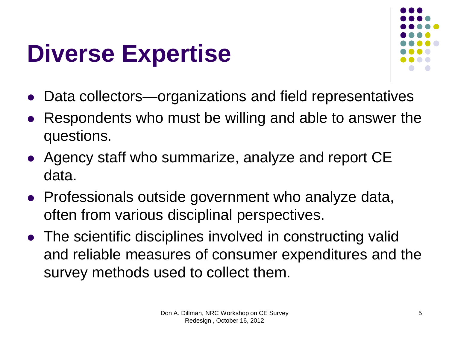#### **Diverse Expertise**



- Data collectors—organizations and field representatives
- Respondents who must be willing and able to answer the questions.
- Agency staff who summarize, analyze and report CE data.
- Professionals outside government who analyze data, often from various disciplinal perspectives.
- The scientific disciplines involved in constructing valid and reliable measures of consumer expenditures and the survey methods used to collect them.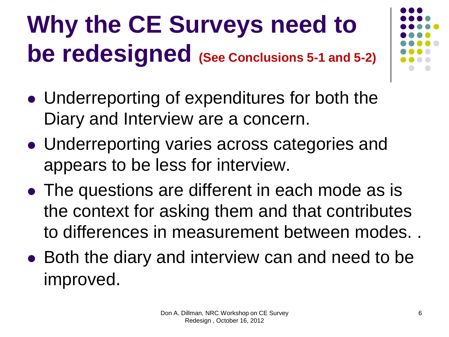#### **Why the CE Surveys need to be redesigned (See Conclusions 5-1 and 5-2)**

- 
- Underreporting of expenditures for both the Diary and Interview are a concern.
- Underreporting varies across categories and appears to be less for interview.
- The questions are different in each mode as is the context for asking them and that contributes to differences in measurement between modes. .
- Both the diary and interview can and need to be improved.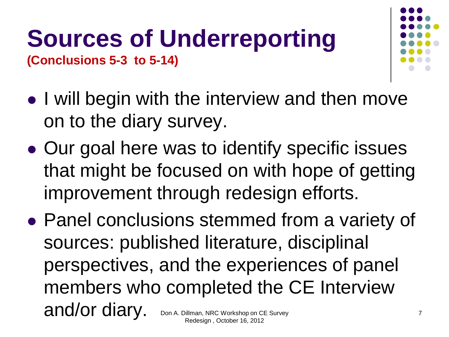#### **Sources of Underreporting (Conclusions 5-3 to 5-14)**



- I will begin with the interview and then move on to the diary survey.
- Our goal here was to identify specific issues that might be focused on with hope of getting improvement through redesign efforts.
- Panel conclusions stemmed from a variety of sources: published literature, disciplinal perspectives, and the experiences of panel members who completed the CE Interview and/or diary. Don A. Dillman, NRC Workshop on CE Survey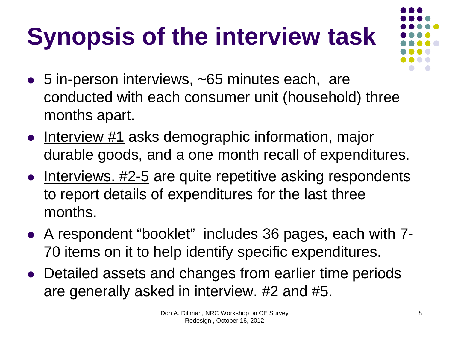## **Synopsis of the interview task**

- 5 in-person interviews, ~65 minutes each, are conducted with each consumer unit (household) three months apart.
- $\bullet$  Interview #1 asks demographic information, major durable goods, and a one month recall of expenditures.
- $\bullet$  Interviews. #2-5 are quite repetitive asking respondents to report details of expenditures for the last three months.
- A respondent "booklet" includes 36 pages, each with 7- 70 items on it to help identify specific expenditures.
- Detailed assets and changes from earlier time periods are generally asked in interview. #2 and #5.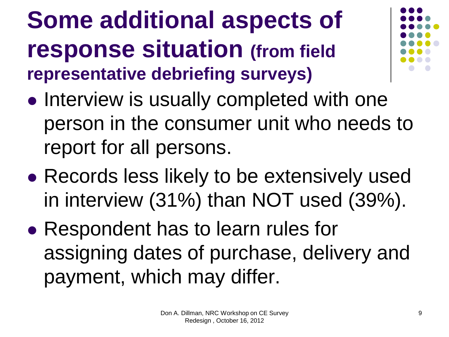**Some additional aspects of response situation (from field representative debriefing surveys)**



- Interview is usually completed with one person in the consumer unit who needs to report for all persons.
- Records less likely to be extensively used in interview (31%) than NOT used (39%).
- Respondent has to learn rules for assigning dates of purchase, delivery and payment, which may differ.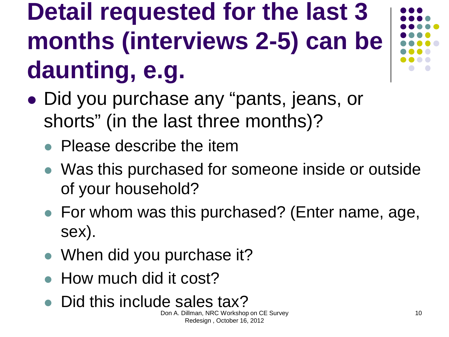#### **Detail requested for the last 3 months (interviews 2-5) can be daunting, e.g.**

- Did you purchase any "pants, jeans, or shorts" (in the last three months)?
	- Please describe the item
	- Was this purchased for someone inside or outside of your household?
	- For whom was this purchased? (Enter name, age, sex).
	- When did you purchase it?
	- How much did it cost?
	- Did this include sales tax?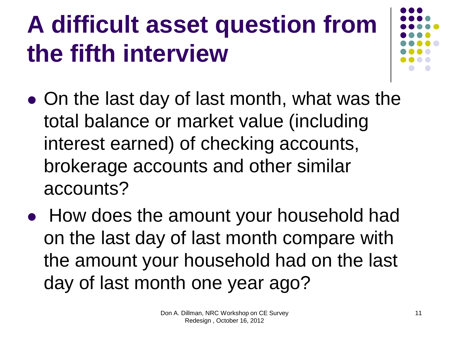## **A difficult asset question from the fifth interview**

- On the last day of last month, what was the total balance or market value (including interest earned) of checking accounts, brokerage accounts and other similar accounts?
- How does the amount your household had on the last day of last month compare with the amount your household had on the last day of last month one year ago?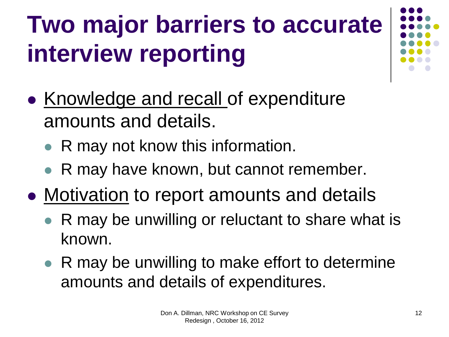## **Two major barriers to accurate interview reporting**

- Knowledge and recall of expenditure amounts and details.
	- R may not know this information.
	- R may have known, but cannot remember.
- Motivation to report amounts and details
	- R may be unwilling or reluctant to share what is known.
	- R may be unwilling to make effort to determine amounts and details of expenditures.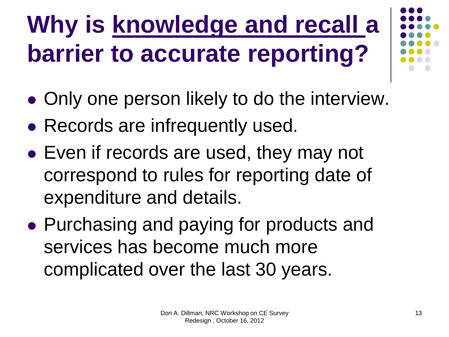## **Why is knowledge and recall a barrier to accurate reporting?**

- Only one person likely to do the interview.
- Records are infrequently used.
- Even if records are used, they may not correspond to rules for reporting date of expenditure and details.
- Purchasing and paying for products and services has become much more complicated over the last 30 years.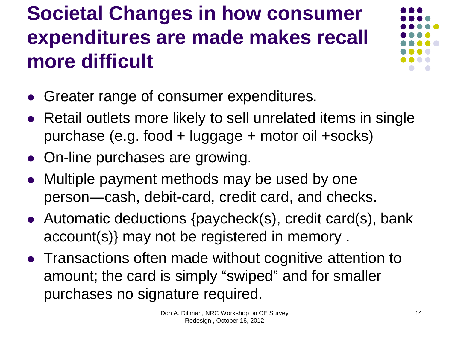#### **Societal Changes in how consumer expenditures are made makes recall more difficult**



- Greater range of consumer expenditures.
- Retail outlets more likely to sell unrelated items in single purchase (e.g. food + luggage + motor oil +socks)
- On-line purchases are growing.
- Multiple payment methods may be used by one person—cash, debit-card, credit card, and checks.
- Automatic deductions {paycheck(s), credit card(s), bank account(s)} may not be registered in memory .
- Transactions often made without cognitive attention to amount; the card is simply "swiped" and for smaller purchases no signature required.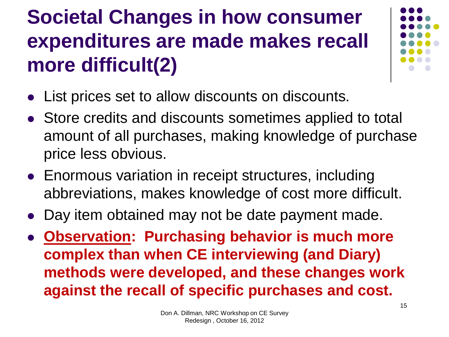#### **Societal Changes in how consumer expenditures are made makes recall more difficult(2)**



- List prices set to allow discounts on discounts.
- Store credits and discounts sometimes applied to total amount of all purchases, making knowledge of purchase price less obvious.
- Enormous variation in receipt structures, including abbreviations, makes knowledge of cost more difficult.
- Day item obtained may not be date payment made.
- **Observation: Purchasing behavior is much more complex than when CE interviewing (and Diary) methods were developed, and these changes work against the recall of specific purchases and cost.**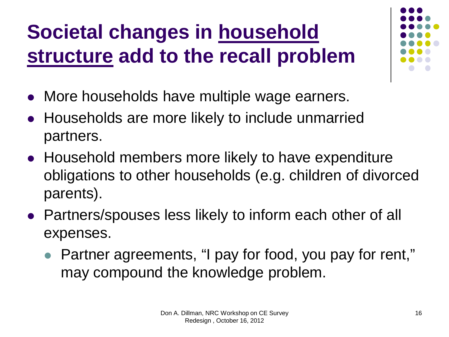#### **Societal changes in household structure add to the recall problem**

- More households have multiple wage earners.
- Households are more likely to include unmarried partners.
- Household members more likely to have expenditure obligations to other households (e.g. children of divorced parents).
- Partners/spouses less likely to inform each other of all expenses.
	- Partner agreements, "I pay for food, you pay for rent," may compound the knowledge problem.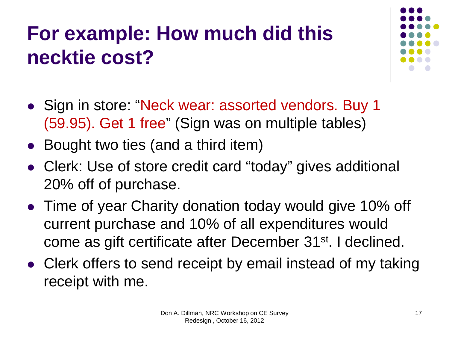#### **For example: How much did this necktie cost?**



- Sign in store: "Neck wear: assorted vendors. Buy 1 (59.95). Get 1 free" (Sign was on multiple tables)
- Bought two ties (and a third item)
- Clerk: Use of store credit card "today" gives additional 20% off of purchase.
- Time of year Charity donation today would give 10% off current purchase and 10% of all expenditures would come as gift certificate after December 31st. I declined.
- Clerk offers to send receipt by email instead of my taking receipt with me.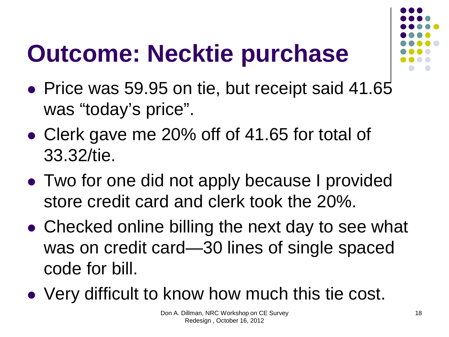## **Outcome: Necktie purchase**

- Price was 59.95 on tie, but receipt said 41.65 was "today's price".
- Clerk gave me 20% off of 41.65 for total of 33.32/tie.
- Two for one did not apply because I provided store credit card and clerk took the 20%.
- Checked online billing the next day to see what was on credit card—30 lines of single spaced code for bill.
- Very difficult to know how much this tie cost.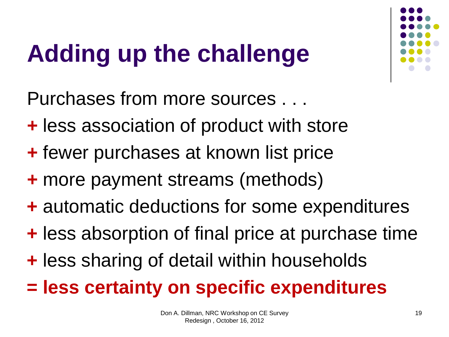## **Adding up the challenge**



- **+** less association of product with store
- **+** fewer purchases at known list price
- **+** more payment streams (methods)
- **+** automatic deductions for some expenditures
- **+** less absorption of final price at purchase time
- **+** less sharing of detail within households
- **= less certainty on specific expenditures**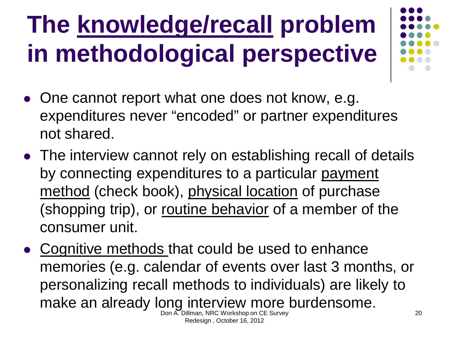## **The knowledge/recall problem in methodological perspective**



- One cannot report what one does not know, e.g. expenditures never "encoded" or partner expenditures not shared.
- The interview cannot rely on establishing recall of details by connecting expenditures to a particular payment method (check book), physical location of purchase (shopping trip), or routine behavior of a member of the consumer unit.
- Cognitive methods that could be used to enhance memories (e.g. calendar of events over last 3 months, or personalizing recall methods to individuals) are likely to make an already long interview more burdensome.<br>Don A. Dillman, NRC Workshop on CE Survey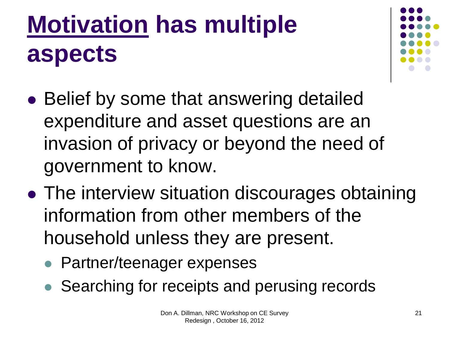## **Motivation has multiple aspects**



- Belief by some that answering detailed expenditure and asset questions are an invasion of privacy or beyond the need of government to know.
- The interview situation discourages obtaining information from other members of the household unless they are present.
	- Partner/teenager expenses
	- Searching for receipts and perusing records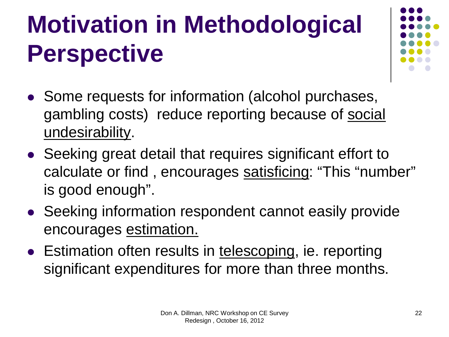## **Motivation in Methodological Perspective**

- 
- Some requests for information (alcohol purchases, gambling costs) reduce reporting because of social undesirability.
- Seeking great detail that requires significant effort to calculate or find , encourages satisficing: "This "number" is good enough".
- Seeking information respondent cannot easily provide encourages estimation.
- Estimation often results in telescoping, ie. reporting significant expenditures for more than three months.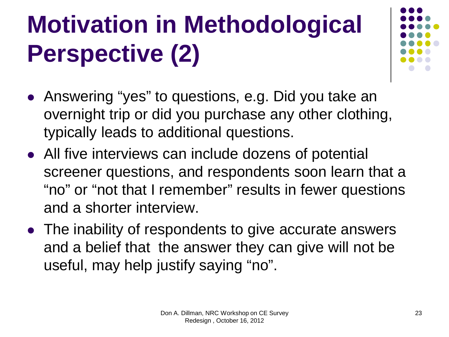## **Motivation in Methodological Perspective (2)**

- Answering "yes" to questions, e.g. Did you take an overnight trip or did you purchase any other clothing, typically leads to additional questions.
- All five interviews can include dozens of potential screener questions, and respondents soon learn that a "no" or "not that I remember" results in fewer questions and a shorter interview.
- The inability of respondents to give accurate answers and a belief that the answer they can give will not be useful, may help justify saying "no".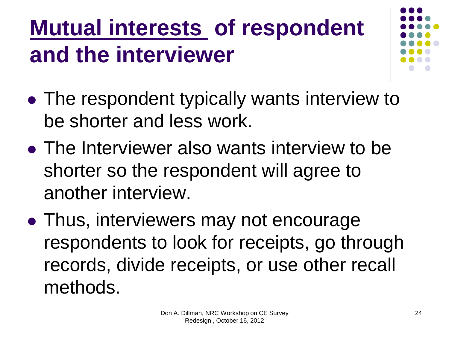#### **Mutual interests of respondent and the interviewer**

- 
- The respondent typically wants interview to be shorter and less work.
- The Interviewer also wants interview to be shorter so the respondent will agree to another interview.
- Thus, interviewers may not encourage respondents to look for receipts, go through records, divide receipts, or use other recall methods.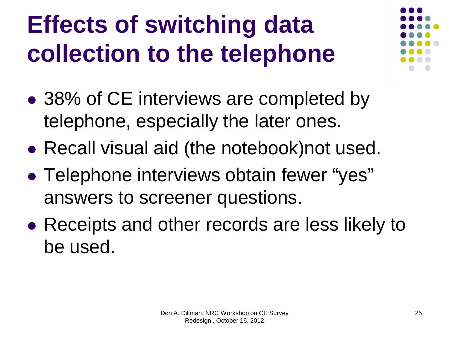#### **Effects of switching data collection to the telephone**

- 
- 38% of CE interviews are completed by telephone, especially the later ones.
- Recall visual aid (the notebook)not used.
- Telephone interviews obtain fewer "yes" answers to screener questions.
- Receipts and other records are less likely to be used.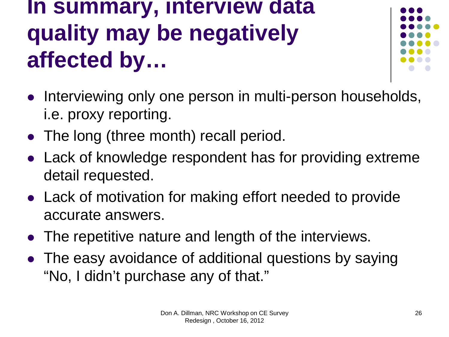#### **In summary, interview data quality may be negatively affected by…**



- Interviewing only one person in multi-person households, i.e. proxy reporting.
- The long (three month) recall period.
- Lack of knowledge respondent has for providing extreme detail requested.
- Lack of motivation for making effort needed to provide accurate answers.
- The repetitive nature and length of the interviews.
- The easy avoidance of additional questions by saying "No, I didn't purchase any of that."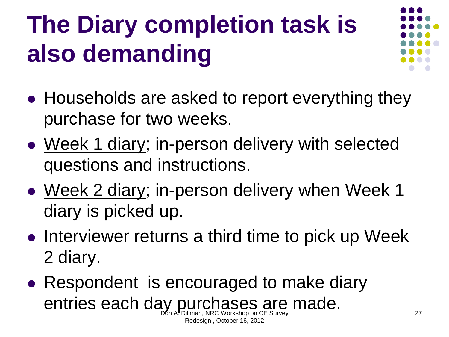## **The Diary completion task is also demanding**



- Households are asked to report everything they purchase for two weeks.
- Week 1 diary; in-person delivery with selected questions and instructions.
- Week 2 diary; in-person delivery when Week 1 diary is picked up.
- Interviewer returns a third time to pick up Week 2 diary.
- Respondent is encouraged to make diary entries each day purchases are made.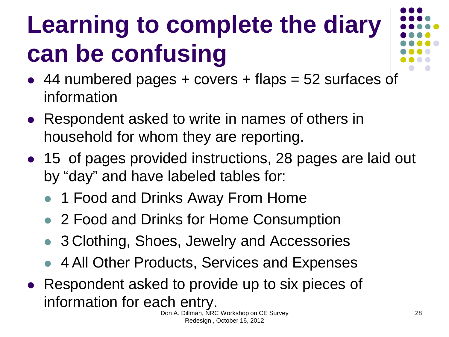## **Learning to complete the diary can be confusing**

- $\bullet$  44 numbered pages + covers + flaps = 52 surfaces of information
- Respondent asked to write in names of others in household for whom they are reporting.
- 15 of pages provided instructions, 28 pages are laid out by "day" and have labeled tables for:
	- 1 Food and Drinks Away From Home
	- 2 Food and Drinks for Home Consumption
	- 3 Clothing, Shoes, Jewelry and Accessories
	- 4 All Other Products, Services and Expenses
- Respondent asked to provide up to six pieces of information for each entry.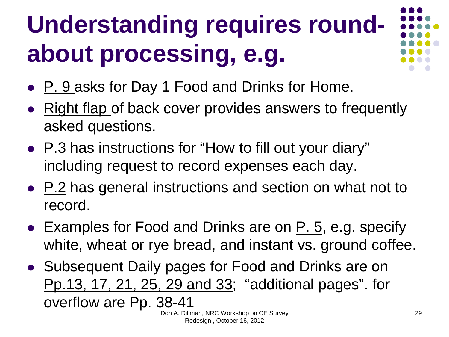## **Understanding requires roundabout processing, e.g.**

- P. 9 asks for Day 1 Food and Drinks for Home.
- Right flap of back cover provides answers to frequently asked questions.
- P.3 has instructions for "How to fill out your diary" including request to record expenses each day.
- P.2 has general instructions and section on what not to record.
- Examples for Food and Drinks are on  $P. 5$ , e.g. specify white, wheat or rye bread, and instant vs. ground coffee.
- Subsequent Daily pages for Food and Drinks are on Pp.13, 17, 21, 25, 29 and 33; "additional pages". for overflow are Pp. 38-41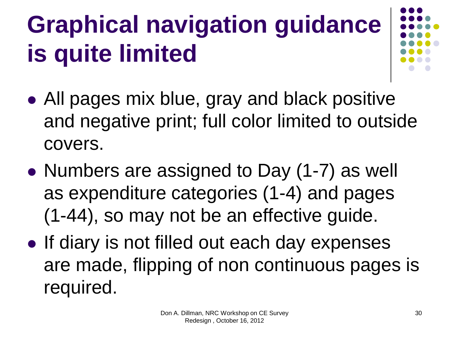## **Graphical navigation guidance is quite limited**

- All pages mix blue, gray and black positive and negative print; full color limited to outside covers.
- Numbers are assigned to Day (1-7) as well as expenditure categories (1-4) and pages (1-44), so may not be an effective guide.
- If diary is not filled out each day expenses are made, flipping of non continuous pages is required.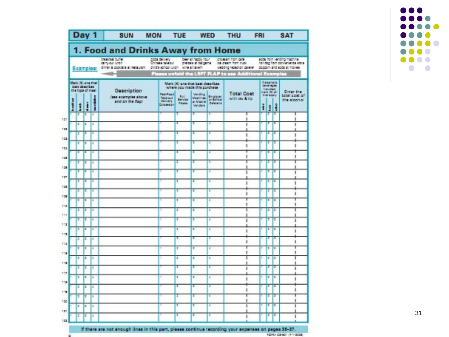

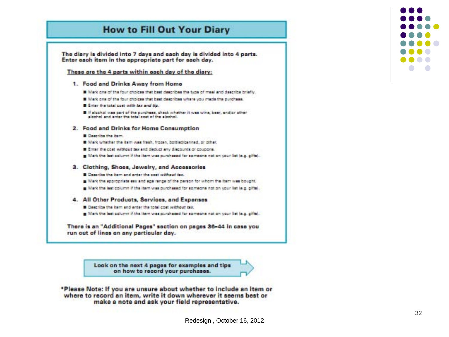#### **How to Fill Out Your Diary**



- g Mark the last column if the item was purchased for someone not on your list (e.g. pifts).
- 4. All Other Products, Services, and Expenses
	- **B** Centribe the item and enter the total cost setthout tax.
	- g Mark the last column if the item was purchased for someone not on your list (e.g. gifts).

There is an "Additional Pages" section on pages 36-44 in case you run out of lines on any particular day.

> Look on the next 4 pages for examples and tips on how to record your purchases.



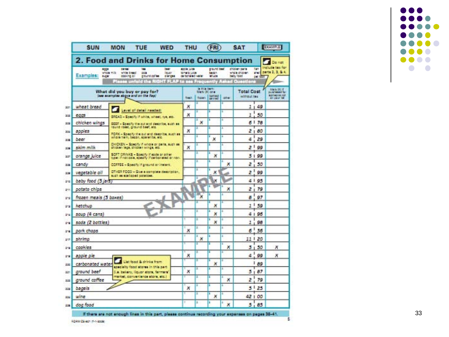| SUN                                                                  | <b>MON</b><br><b>TUE</b><br><b>WED</b><br>2. Food and Drinks for Home Consumption                                                                           | THU                                                                 |        | (FRI)                                                                   | <b>SAT</b>                |                                              |                                   | <b>EXAMPLE</b><br>De net                                   |
|----------------------------------------------------------------------|-------------------------------------------------------------------------------------------------------------------------------------------------------------|---------------------------------------------------------------------|--------|-------------------------------------------------------------------------|---------------------------|----------------------------------------------|-----------------------------------|------------------------------------------------------------|
| 6008<br>Examples:<br>1428                                            | <b>BANKER</b><br>been<br>188<br>vitale milk<br>lough<br>white bread<br><b>COR</b><br>ground colles<br>pranges<br>conting of<br>Plasse unfold the RIGHT FLAP | <b>ACC'H LIGH</b><br>tomatic juice<br>carbonated water<br>to see Fr |        | played basil<br>tacon<br><b>Million</b>                                 | <b>usntly Asked Quest</b> | chicken parts<br>whole chicken.<br>baby food | <b>Tan</b><br><b>ESI</b><br>247.3 | nclude tex for<br>parts 2, 3, & 4.                         |
| What did you buy or pay for?<br>less examples sogve and on the flap. |                                                                                                                                                             | dispeti.<br>track.                                                  |        | <b><i>A. 01.8 (887)</i></b><br>Mark (X) one<br><b>British</b><br>(2014) |                           | <b>Total Cost</b><br>without tax             |                                   | <b>Main (R) F</b><br><b>BAINBARE IST</b><br>All your list. |
| wheat bread                                                          |                                                                                                                                                             | ×                                                                   |        | з                                                                       |                           | 11                                           | 49                                |                                                            |
| eggs                                                                 | Lavel of detail needed:<br>SRCAD - Specify if which, wheel, rye, etc.                                                                                       | х                                                                   |        | и                                                                       |                           | ı                                            | 50                                |                                                            |
| chicken wings                                                        | <b>DEEF - Specify the cut and deecribe, such as</b>                                                                                                         |                                                                     | ×      | в                                                                       | ٠                         | 61                                           | 78                                |                                                            |
| apples                                                               | tound roset, ground basi, atz.<br>PORK - Specify the put and describe, such as                                                                              | ×                                                                   | ٠      | n                                                                       | n.                        | ż<br>1                                       | 80                                |                                                            |
| beer                                                                 | whole ham, becon, sperarits, etc.                                                                                                                           |                                                                     | r      | п<br>×                                                                  | ٠                         | 4                                            | 29                                |                                                            |
| sidm milk                                                            | CHICKEN - Specify if whole or parts, such as:<br>chicken lege, chicken wings, etc.                                                                          | ×                                                                   | r      | п                                                                       | п                         | 21                                           | 99                                |                                                            |
| orange juice                                                         | SOFT ORINKS - Specify if sods or other<br>type: if not cole, specify if carbonated or non.                                                                  |                                                                     | z      | п<br>х                                                                  |                           |                                              | 5199                              |                                                            |
| candy                                                                | COFFEE - Specify if ground or instant.                                                                                                                      |                                                                     | z      | а                                                                       | a<br>×                    | z                                            | 50                                |                                                            |
| vegetable oll                                                        | OTHER FDOO - Give a complete description.<br>such as ecologied polations.                                                                                   |                                                                     | z      | п<br>×                                                                  |                           | 1<br>$\overline{z}$                          | 99                                |                                                            |
| baby food (5 jars)                                                   |                                                                                                                                                             |                                                                     | ż<br>× | ×                                                                       |                           |                                              | 4195                              |                                                            |
| potato chips                                                         |                                                                                                                                                             |                                                                     |        | а                                                                       | ×                         | $\overline{z}$                               | 79                                |                                                            |
| frazen meals (3 boxes)                                               |                                                                                                                                                             |                                                                     | ×      | ш                                                                       |                           | а                                            | 97                                |                                                            |
| ketchup                                                              |                                                                                                                                                             |                                                                     |        | ٠<br>×                                                                  | т                         | 1<br>2                                       | 59                                |                                                            |
| soup (4 cans)                                                        |                                                                                                                                                             |                                                                     | r      | ı<br>×                                                                  |                           |                                              | 4   95                            |                                                            |
| soda (2 bottles)                                                     |                                                                                                                                                             |                                                                     | Ξ      | п<br>х                                                                  |                           | Ī                                            | 98                                |                                                            |
| pork chops                                                           |                                                                                                                                                             | ×                                                                   | Ξ      | п                                                                       | z                         | 6 <sup>1</sup>                               | 55                                |                                                            |
| shrimp                                                               |                                                                                                                                                             |                                                                     | Ξ<br>× | a                                                                       | ٠                         |                                              | 11   20                           |                                                            |
| cookles                                                              |                                                                                                                                                             |                                                                     | в      | п                                                                       | ×                         | 3                                            | 50                                | ×                                                          |
| apple ple                                                            |                                                                                                                                                             | ×                                                                   | π      | п                                                                       |                           | Δ                                            | 99                                | ×                                                          |
| carbonated water                                                     | List food & drinks from<br>mea sirin aerole topis tyteloece                                                                                                 |                                                                     | I      | п<br>×                                                                  |                           |                                              | ı<br>89                           |                                                            |
| ground beef                                                          | 5.a. bakary, liquor store, fermers'                                                                                                                         | ×                                                                   | ×      | п                                                                       | ٠                         | 5<br>f,                                      | 87                                |                                                            |
| ground caffee                                                        | rarket, convenience ators, etc.)                                                                                                                            |                                                                     | в      | п                                                                       | ٠<br>×                    | ž                                            | 79                                |                                                            |
| bagels                                                               |                                                                                                                                                             | ×                                                                   | r      | E                                                                       | ×                         | 5<br>л                                       | 25                                |                                                            |
| wloe                                                                 |                                                                                                                                                             |                                                                     | ı      | в<br>х                                                                  |                           |                                              | 42 1 00                           |                                                            |
| dog food                                                             |                                                                                                                                                             |                                                                     | z      | a                                                                       | ×                         | 5                                            | 85                                |                                                            |

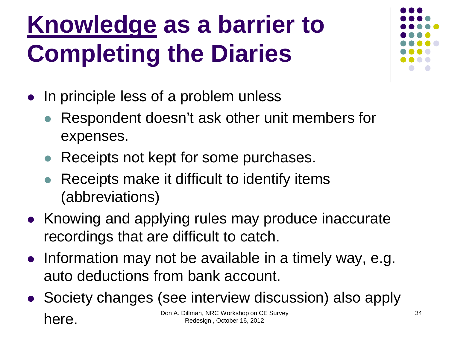#### **Knowledge as a barrier to Completing the Diaries**

- In principle less of a problem unless
	- Respondent doesn't ask other unit members for expenses.
	- Receipts not kept for some purchases.
	- Receipts make it difficult to identify items (abbreviations)
- Knowing and applying rules may produce inaccurate recordings that are difficult to catch.
- Information may not be available in a timely way, e.g. auto deductions from bank account.
- Society changes (see interview discussion) also apply **here.** Don A. Dillman, NRC Workshop on CE Survey<br>Redesign , October 16, 2012 Redesign , October 16, 2012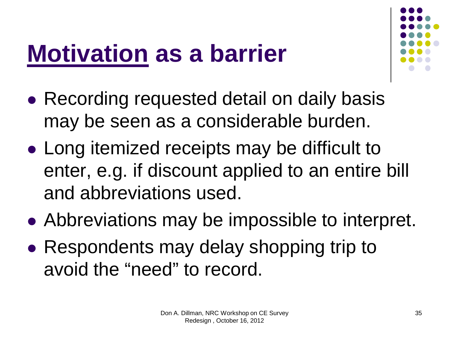#### **Motivation as a barrier**



- Recording requested detail on daily basis may be seen as a considerable burden.
- Long itemized receipts may be difficult to enter, e.g. if discount applied to an entire bill and abbreviations used.
- Abbreviations may be impossible to interpret.
- Respondents may delay shopping trip to avoid the "need" to record.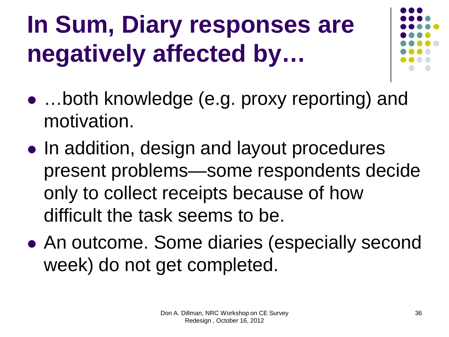## **In Sum, Diary responses are negatively affected by…**



- …both knowledge (e.g. proxy reporting) and motivation.
- In addition, design and layout procedures present problems—some respondents decide only to collect receipts because of how difficult the task seems to be.
- An outcome. Some diaries (especially second week) do not get completed.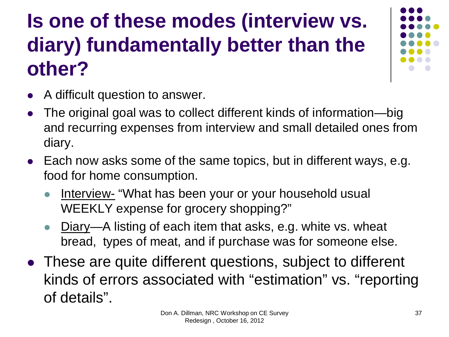#### **Is one of these modes (interview vs. diary) fundamentally better than the other?**



- A difficult question to answer.
- The original goal was to collect different kinds of information—big and recurring expenses from interview and small detailed ones from diary.
- Each now asks some of the same topics, but in different ways, e.g. food for home consumption.
	- Interview- "What has been your or your household usual WEEKLY expense for grocery shopping?"
	- Diary—A listing of each item that asks, e.g. white vs. wheat bread, types of meat, and if purchase was for someone else.
- These are quite different questions, subject to different kinds of errors associated with "estimation" vs. "reporting of details".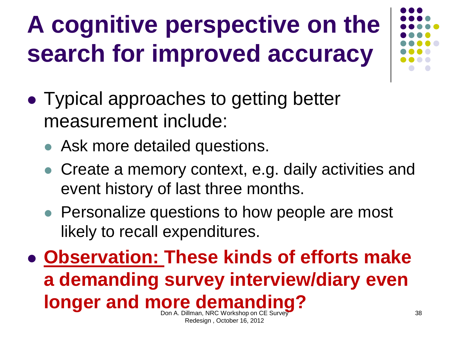## **A cognitive perspective on the search for improved accuracy**

- Typical approaches to getting better measurement include:
	- Ask more detailed questions.
	- Create a memory context, e.g. daily activities and event history of last three months.
	- Personalize questions to how people are most likely to recall expenditures.
- **Observation: These kinds of efforts make a demanding survey interview/diary even longer and more demanding?**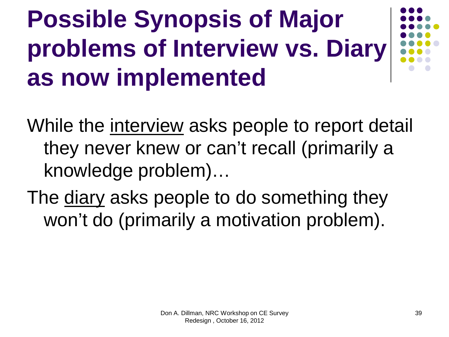#### **Possible Synopsis of Major problems of Interview vs. Diary as now implemented**



While the interview asks people to report detail they never knew or can't recall (primarily a knowledge problem)…

The diary asks people to do something they won't do (primarily a motivation problem).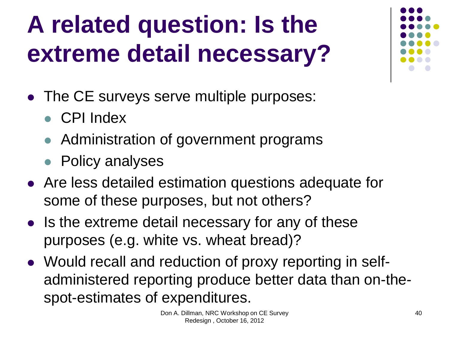## **A related question: Is the extreme detail necessary?**

- The CE surveys serve multiple purposes:
	- CPI Index
	- Administration of government programs
	- Policy analyses
- Are less detailed estimation questions adequate for some of these purposes, but not others?
- Is the extreme detail necessary for any of these purposes (e.g. white vs. wheat bread)?
- Would recall and reduction of proxy reporting in selfadministered reporting produce better data than on-thespot-estimates of expenditures.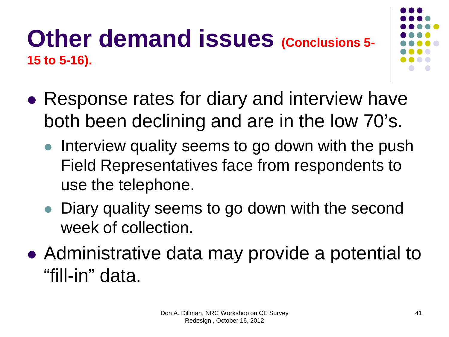#### **Other demand issues (Conclusions 5-15 to 5-16).**

- 
- Response rates for diary and interview have both been declining and are in the low 70's.
	- Interview quality seems to go down with the push Field Representatives face from respondents to use the telephone.
	- Diary quality seems to go down with the second week of collection.
- Administrative data may provide a potential to "fill-in" data.